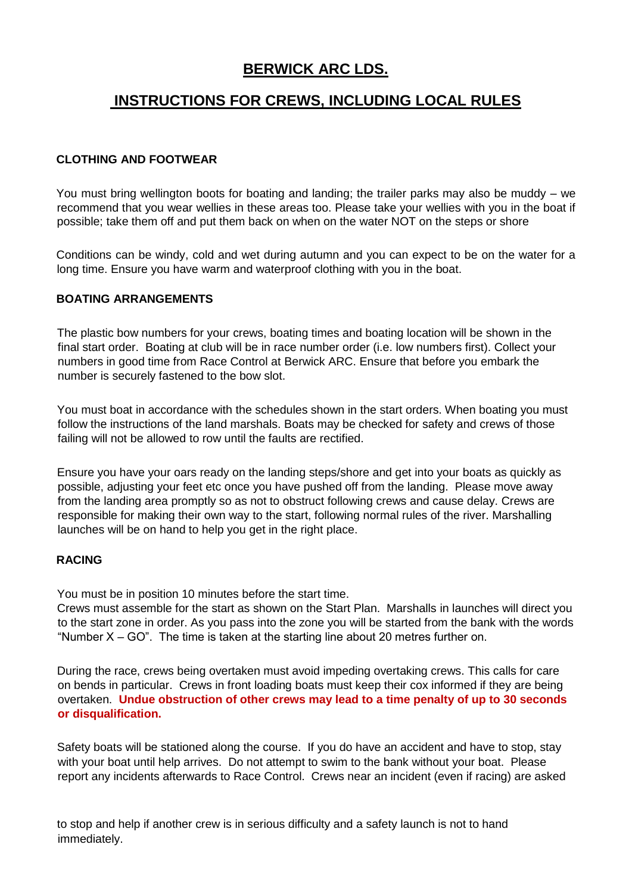## **BERWICK ARC LDS.**

# **INSTRUCTIONS FOR CREWS, INCLUDING LOCAL RULES**

## **CLOTHING AND FOOTWEAR**

You must bring wellington boots for boating and landing; the trailer parks may also be muddy – we recommend that you wear wellies in these areas too. Please take your wellies with you in the boat if possible; take them off and put them back on when on the water NOT on the steps or shore

Conditions can be windy, cold and wet during autumn and you can expect to be on the water for a long time. Ensure you have warm and waterproof clothing with you in the boat.

## **BOATING ARRANGEMENTS**

The plastic bow numbers for your crews, boating times and boating location will be shown in the final start order. Boating at club will be in race number order (i.e. low numbers first). Collect your numbers in good time from Race Control at Berwick ARC. Ensure that before you embark the number is securely fastened to the bow slot.

You must boat in accordance with the schedules shown in the start orders. When boating you must follow the instructions of the land marshals. Boats may be checked for safety and crews of those failing will not be allowed to row until the faults are rectified.

Ensure you have your oars ready on the landing steps/shore and get into your boats as quickly as possible, adjusting your feet etc once you have pushed off from the landing. Please move away from the landing area promptly so as not to obstruct following crews and cause delay. Crews are responsible for making their own way to the start, following normal rules of the river. Marshalling launches will be on hand to help you get in the right place.

#### **RACING**

You must be in position 10 minutes before the start time.

Crews must assemble for the start as shown on the Start Plan. Marshalls in launches will direct you to the start zone in order. As you pass into the zone you will be started from the bank with the words "Number  $X - GO$ ". The time is taken at the starting line about 20 metres further on.

During the race, crews being overtaken must avoid impeding overtaking crews. This calls for care on bends in particular. Crews in front loading boats must keep their cox informed if they are being overtaken. **Undue obstruction of other crews may lead to a time penalty of up to 30 seconds or disqualification.**

Safety boats will be stationed along the course. If you do have an accident and have to stop, stay with your boat until help arrives. Do not attempt to swim to the bank without your boat. Please report any incidents afterwards to Race Control. Crews near an incident (even if racing) are asked

to stop and help if another crew is in serious difficulty and a safety launch is not to hand immediately.